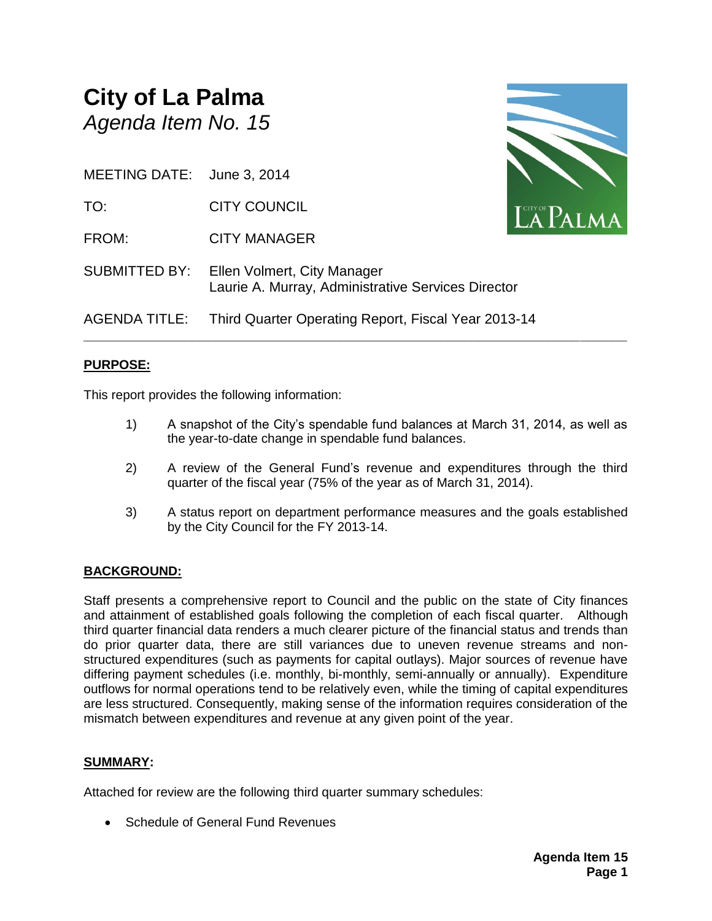# **City of La Palma** *Agenda Item No. 15*

MEETING DATE: June 3, 2014

TO: CITY COUNCIL

FROM: CITY MANAGER

SUBMITTED BY: Ellen Volmert, City Manager Laurie A. Murray, Administrative Services Director

AGENDA TITLE: Third Quarter Operating Report, Fiscal Year 2013-14

## **PURPOSE:**

This report provides the following information:

1) A snapshot of the City's spendable fund balances at March 31, 2014, as well as the year-to-date change in spendable fund balances.

**\_\_\_\_\_\_\_\_\_\_\_\_\_\_\_\_\_\_\_\_\_\_\_\_\_\_\_\_\_\_\_\_\_\_\_\_\_\_\_\_\_\_\_\_\_\_\_\_\_\_\_\_\_\_\_\_\_\_\_\_\_\_\_\_\_\_\_\_\_\_**

- 2) A review of the General Fund's revenue and expenditures through the third quarter of the fiscal year (75% of the year as of March 31, 2014).
- 3) A status report on department performance measures and the goals established by the City Council for the FY 2013-14.

## **BACKGROUND:**

Staff presents a comprehensive report to Council and the public on the state of City finances and attainment of established goals following the completion of each fiscal quarter. Although third quarter financial data renders a much clearer picture of the financial status and trends than do prior quarter data, there are still variances due to uneven revenue streams and nonstructured expenditures (such as payments for capital outlays). Major sources of revenue have differing payment schedules (i.e. monthly, bi-monthly, semi-annually or annually). Expenditure outflows for normal operations tend to be relatively even, while the timing of capital expenditures are less structured. Consequently, making sense of the information requires consideration of the mismatch between expenditures and revenue at any given point of the year.

## **SUMMARY:**

Attached for review are the following third quarter summary schedules:

• Schedule of General Fund Revenues

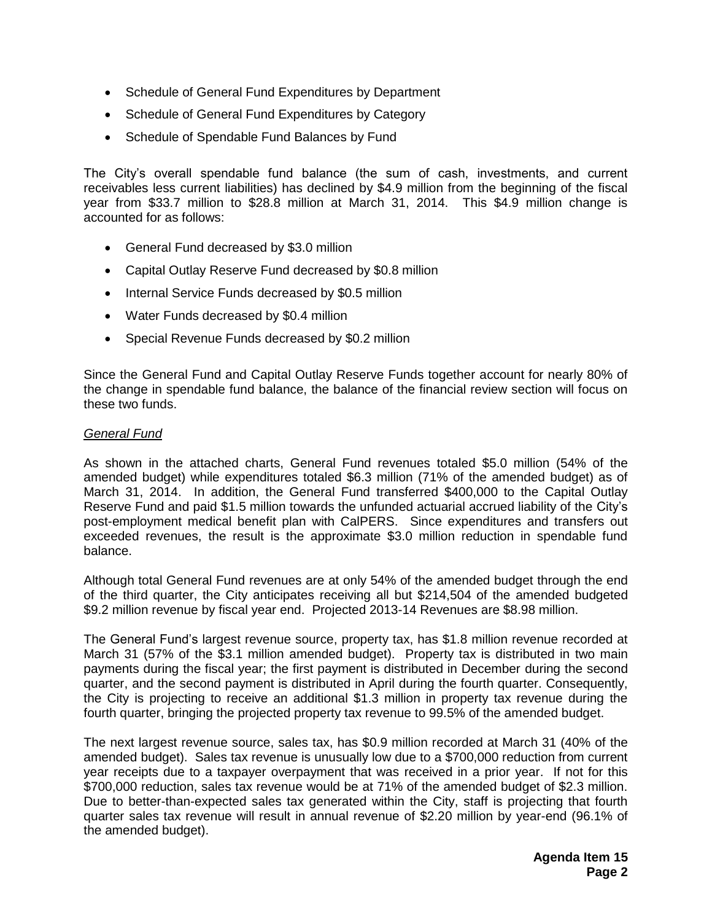- Schedule of General Fund Expenditures by Department
- Schedule of General Fund Expenditures by Category
- Schedule of Spendable Fund Balances by Fund

The City's overall spendable fund balance (the sum of cash, investments, and current receivables less current liabilities) has declined by \$4.9 million from the beginning of the fiscal year from \$33.7 million to \$28.8 million at March 31, 2014. This \$4.9 million change is accounted for as follows:

- General Fund decreased by \$3.0 million
- Capital Outlay Reserve Fund decreased by \$0.8 million
- Internal Service Funds decreased by \$0.5 million
- Water Funds decreased by \$0.4 million
- Special Revenue Funds decreased by \$0.2 million

Since the General Fund and Capital Outlay Reserve Funds together account for nearly 80% of the change in spendable fund balance, the balance of the financial review section will focus on these two funds.

## *General Fund*

As shown in the attached charts, General Fund revenues totaled \$5.0 million (54% of the amended budget) while expenditures totaled \$6.3 million (71% of the amended budget) as of March 31, 2014. In addition, the General Fund transferred \$400,000 to the Capital Outlay Reserve Fund and paid \$1.5 million towards the unfunded actuarial accrued liability of the City's post-employment medical benefit plan with CalPERS. Since expenditures and transfers out exceeded revenues, the result is the approximate \$3.0 million reduction in spendable fund balance.

Although total General Fund revenues are at only 54% of the amended budget through the end of the third quarter, the City anticipates receiving all but \$214,504 of the amended budgeted \$9.2 million revenue by fiscal year end. Projected 2013-14 Revenues are \$8.98 million.

The General Fund's largest revenue source, property tax, has \$1.8 million revenue recorded at March 31 (57% of the \$3.1 million amended budget). Property tax is distributed in two main payments during the fiscal year; the first payment is distributed in December during the second quarter, and the second payment is distributed in April during the fourth quarter. Consequently, the City is projecting to receive an additional \$1.3 million in property tax revenue during the fourth quarter, bringing the projected property tax revenue to 99.5% of the amended budget.

The next largest revenue source, sales tax, has \$0.9 million recorded at March 31 (40% of the amended budget). Sales tax revenue is unusually low due to a \$700,000 reduction from current year receipts due to a taxpayer overpayment that was received in a prior year. If not for this \$700,000 reduction, sales tax revenue would be at 71% of the amended budget of \$2.3 million. Due to better-than-expected sales tax generated within the City, staff is projecting that fourth quarter sales tax revenue will result in annual revenue of \$2.20 million by year-end (96.1% of the amended budget).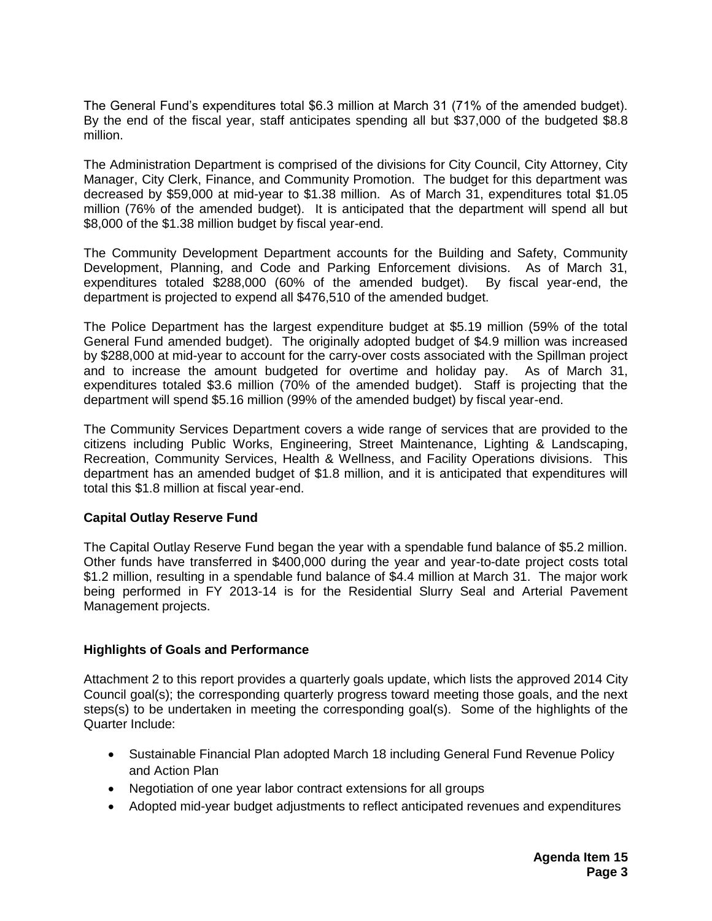The General Fund's expenditures total \$6.3 million at March 31 (71% of the amended budget). By the end of the fiscal year, staff anticipates spending all but \$37,000 of the budgeted \$8.8 million.

The Administration Department is comprised of the divisions for City Council, City Attorney, City Manager, City Clerk, Finance, and Community Promotion. The budget for this department was decreased by \$59,000 at mid-year to \$1.38 million. As of March 31, expenditures total \$1.05 million (76% of the amended budget). It is anticipated that the department will spend all but \$8,000 of the \$1.38 million budget by fiscal year-end.

The Community Development Department accounts for the Building and Safety, Community Development, Planning, and Code and Parking Enforcement divisions. As of March 31, expenditures totaled \$288,000 (60% of the amended budget). By fiscal year-end, the department is projected to expend all \$476,510 of the amended budget.

The Police Department has the largest expenditure budget at \$5.19 million (59% of the total General Fund amended budget). The originally adopted budget of \$4.9 million was increased by \$288,000 at mid-year to account for the carry-over costs associated with the Spillman project and to increase the amount budgeted for overtime and holiday pay. As of March 31, expenditures totaled \$3.6 million (70% of the amended budget). Staff is projecting that the department will spend \$5.16 million (99% of the amended budget) by fiscal year-end.

The Community Services Department covers a wide range of services that are provided to the citizens including Public Works, Engineering, Street Maintenance, Lighting & Landscaping, Recreation, Community Services, Health & Wellness, and Facility Operations divisions. This department has an amended budget of \$1.8 million, and it is anticipated that expenditures will total this \$1.8 million at fiscal year-end.

## **Capital Outlay Reserve Fund**

The Capital Outlay Reserve Fund began the year with a spendable fund balance of \$5.2 million. Other funds have transferred in \$400,000 during the year and year-to-date project costs total \$1.2 million, resulting in a spendable fund balance of \$4.4 million at March 31. The major work being performed in FY 2013-14 is for the Residential Slurry Seal and Arterial Pavement Management projects.

## **Highlights of Goals and Performance**

Attachment 2 to this report provides a quarterly goals update, which lists the approved 2014 City Council goal(s); the corresponding quarterly progress toward meeting those goals, and the next steps(s) to be undertaken in meeting the corresponding goal(s). Some of the highlights of the Quarter Include:

- Sustainable Financial Plan adopted March 18 including General Fund Revenue Policy and Action Plan
- Negotiation of one year labor contract extensions for all groups
- Adopted mid-year budget adjustments to reflect anticipated revenues and expenditures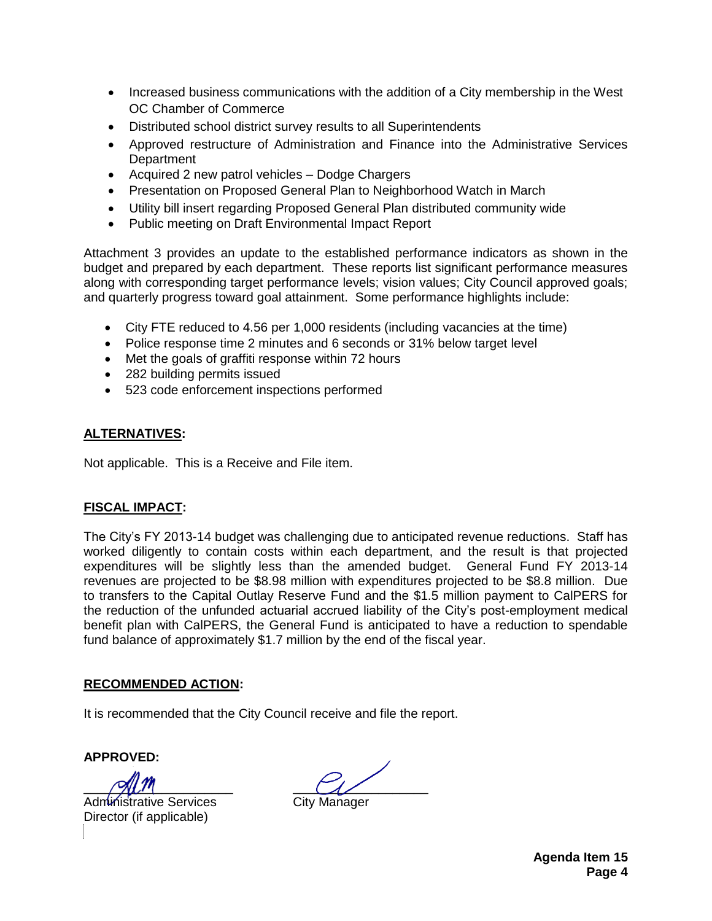- Increased business communications with the addition of a City membership in the West OC Chamber of Commerce
- Distributed school district survey results to all Superintendents
- Approved restructure of Administration and Finance into the Administrative Services **Department**
- Acquired 2 new patrol vehicles Dodge Chargers
- Presentation on Proposed General Plan to Neighborhood Watch in March
- Utility bill insert regarding Proposed General Plan distributed community wide
- Public meeting on Draft Environmental Impact Report

Attachment 3 provides an update to the established performance indicators as shown in the budget and prepared by each department. These reports list significant performance measures along with corresponding target performance levels; vision values; City Council approved goals; and quarterly progress toward goal attainment. Some performance highlights include:

- City FTE reduced to 4.56 per 1,000 residents (including vacancies at the time)
- Police response time 2 minutes and 6 seconds or 31% below target level
- Met the goals of graffiti response within 72 hours
- 282 building permits issued
- 523 code enforcement inspections performed

## **ALTERNATIVES:**

Not applicable. This is a Receive and File item.

## **FISCAL IMPACT:**

The City's FY 2013-14 budget was challenging due to anticipated revenue reductions. Staff has worked diligently to contain costs within each department, and the result is that projected expenditures will be slightly less than the amended budget. General Fund FY 2013-14 revenues are projected to be \$8.98 million with expenditures projected to be \$8.8 million. Due to transfers to the Capital Outlay Reserve Fund and the \$1.5 million payment to CalPERS for the reduction of the unfunded actuarial accrued liability of the City's post-employment medical benefit plan with CalPERS, the General Fund is anticipated to have a reduction to spendable fund balance of approximately \$1.7 million by the end of the fiscal year.

## **RECOMMENDED ACTION:**

It is recommended that the City Council receive and file the report.

**APPROVED:**

Administrative Services City Manager Director (if applicable)

\_\_\_\_\_\_\_\_\_\_\_\_\_\_\_\_\_\_\_\_\_ \_\_\_\_\_\_\_\_\_\_\_\_\_\_\_\_\_\_\_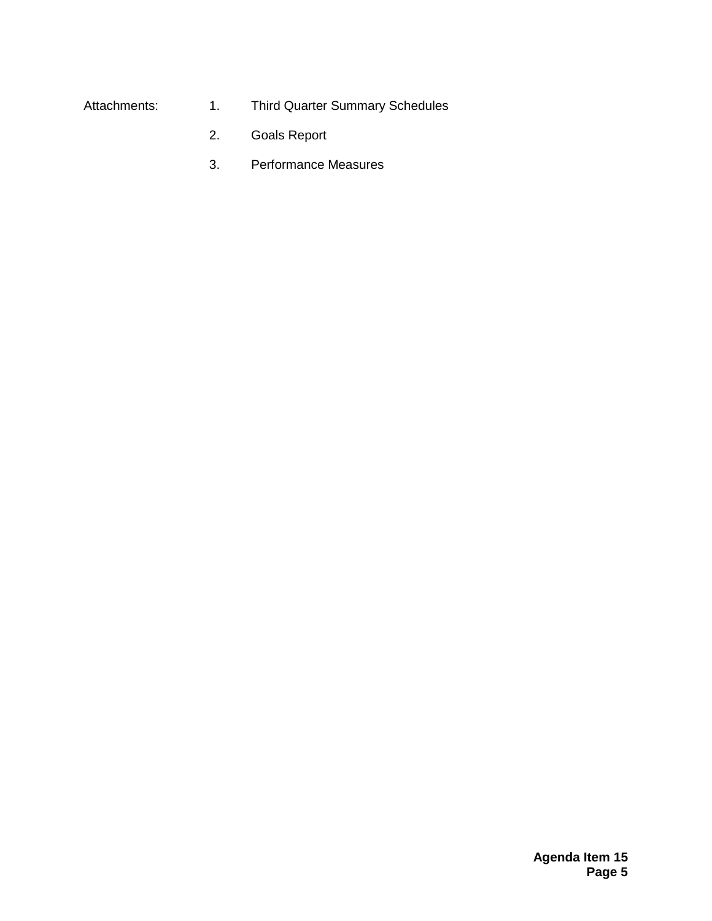## Attachments: 1. Third Quarter Summary Schedules

- 2. Goals Report
- 3. Performance Measures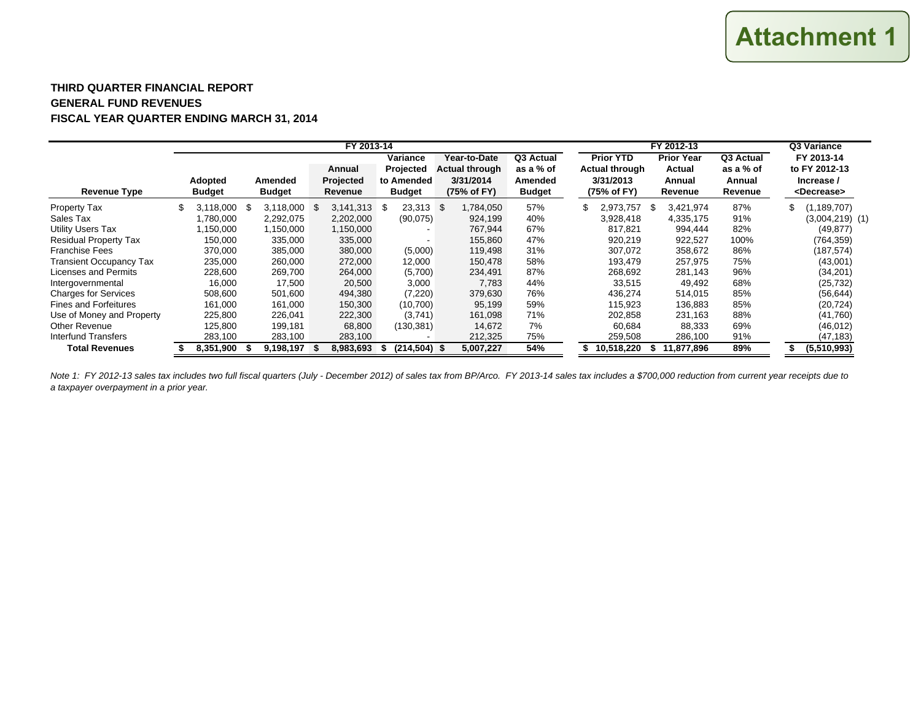## **THIRD QUARTER FINANCIAL REPORT GENERAL FUND REVENUES FISCAL YEAR QUARTER ENDING MARCH 31, 2014**

|                                | FY 2013-14 |                          |     |                          |      |                                | FY 2012-13                                                  |                                                                   |                                                    |  |                                                                       | Q3 Variance |                                                  |                                             |                                                                    |
|--------------------------------|------------|--------------------------|-----|--------------------------|------|--------------------------------|-------------------------------------------------------------|-------------------------------------------------------------------|----------------------------------------------------|--|-----------------------------------------------------------------------|-------------|--------------------------------------------------|---------------------------------------------|--------------------------------------------------------------------|
| <b>Revenue Type</b>            |            | Adopted<br><b>Budget</b> |     | Amended<br><b>Budget</b> |      | Annual<br>Projected<br>Revenue | Variance<br><b>Projected</b><br>to Amended<br><b>Budget</b> | Year-to-Date<br><b>Actual through</b><br>3/31/2014<br>(75% of FY) | Q3 Actual<br>as a % of<br>Amended<br><b>Budget</b> |  | <b>Prior YTD</b><br><b>Actual through</b><br>3/31/2013<br>(75% of FY) |             | <b>Prior Year</b><br>Actual<br>Annual<br>Revenue | Q3 Actual<br>as a % of<br>Annual<br>Revenue | FY 2013-14<br>to FY 2012-13<br>Increase /<br><decrease></decrease> |
| Property Tax                   |            | 3.118.000                | -\$ | 3.118.000                | - \$ | $3,141,313$ \$                 | 23,313 \$                                                   | 1,784,050                                                         | 57%                                                |  | 2,973,757                                                             | \$          | 3,421,974                                        | 87%                                         | (1, 189, 707)                                                      |
| Sales Tax                      |            | 1,780,000                |     | 2,292,075                |      | 2,202,000                      | (90,075)                                                    | 924,199                                                           | 40%                                                |  | 3,928,418                                                             |             | 4,335,175                                        | 91%                                         | $(3,004,219)$ $(1)$                                                |
| <b>Utility Users Tax</b>       |            | 1,150,000                |     | 1,150,000                |      | 1,150,000                      |                                                             | 767,944                                                           | 67%                                                |  | 817,821                                                               |             | 994,444                                          | 82%                                         | (49, 877)                                                          |
| <b>Residual Property Tax</b>   |            | 150,000                  |     | 335,000                  |      | 335,000                        |                                                             | 155.860                                                           | 47%                                                |  | 920,219                                                               |             | 922,527                                          | 100%                                        | (764, 359)                                                         |
| <b>Franchise Fees</b>          |            | 370,000                  |     | 385,000                  |      | 380,000                        | (5,000)                                                     | 119,498                                                           | 31%                                                |  | 307,072                                                               |             | 358,672                                          | 86%                                         | (187, 574)                                                         |
| <b>Transient Occupancy Tax</b> |            | 235,000                  |     | 260,000                  |      | 272,000                        | 12,000                                                      | 150,478                                                           | 58%                                                |  | 193,479                                                               |             | 257,975                                          | 75%                                         | (43,001)                                                           |
| Licenses and Permits           |            | 228,600                  |     | 269.700                  |      | 264,000                        | (5,700)                                                     | 234,491                                                           | 87%                                                |  | 268,692                                                               |             | 281,143                                          | 96%                                         | (34, 201)                                                          |
| Intergovernmental              |            | 16,000                   |     | 17,500                   |      | 20,500                         | 3,000                                                       | 7.783                                                             | 44%                                                |  | 33,515                                                                |             | 49,492                                           | 68%                                         | (25, 732)                                                          |
| <b>Charges for Services</b>    |            | 508,600                  |     | 501,600                  |      | 494,380                        | (7, 220)                                                    | 379,630                                                           | 76%                                                |  | 436,274                                                               |             | 514,015                                          | 85%                                         | (56, 644)                                                          |
| <b>Fines and Forfeitures</b>   |            | 161,000                  |     | 161,000                  |      | 150,300                        | (10, 700)                                                   | 95,199                                                            | 59%                                                |  | 115,923                                                               |             | 136,883                                          | 85%                                         | (20, 724)                                                          |
| Use of Money and Property      |            | 225,800                  |     | 226,041                  |      | 222,300                        | (3,741)                                                     | 161,098                                                           | 71%                                                |  | 202,858                                                               |             | 231.163                                          | 88%                                         | (41,760)                                                           |
| Other Revenue                  |            | 125,800                  |     | 199,181                  |      | 68,800                         | (130, 381)                                                  | 14,672                                                            | 7%                                                 |  | 60,684                                                                |             | 88,333                                           | 69%                                         | (46, 012)                                                          |
| Interfund Transfers            |            | 283,100                  |     | 283,100                  |      | 283,100                        |                                                             | 212,325                                                           | 75%                                                |  | 259,508                                                               |             | 286,100                                          | 91%                                         | (47, 183)                                                          |
| <b>Total Revenues</b>          |            | 8,351,900                |     | 9,198,197                | - 55 | 8,983,693                      | $(214, 504)$ \$                                             | 5,007,227                                                         | 54%                                                |  | 10,518,220                                                            |             | 11,877,896                                       | 89%                                         | (5,510,993)                                                        |

*Note 1: FY 2012-13 sales tax includes two full fiscal quarters (July - December 2012) of sales tax from BP/Arco. FY 2013-14 sales tax includes a \$700,000 reduction from current year receipts due to a taxpayer overpayment in a prior year.*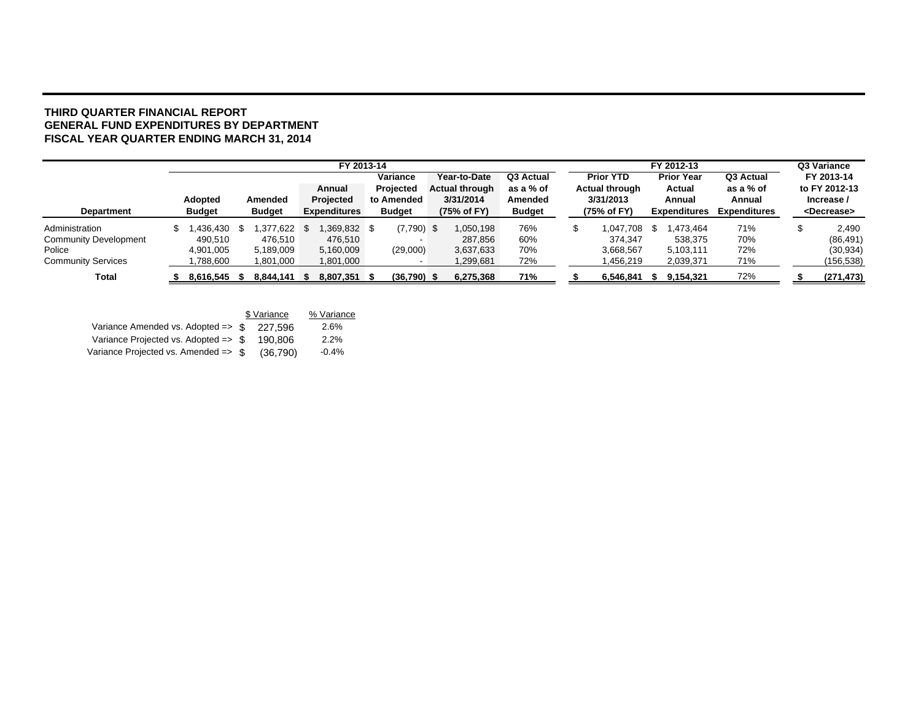### **THIRD QUARTER FINANCIAL REPORT GENERAL FUND EXPENDITURES BY DEPARTMENTFISCAL YEAR QUARTER ENDING MARCH 31, 2014**

|                              | FY 2013-14    |      |               |  |                     |  |               | FY 2012-13            |               |   |                       |  | Q3 Variance         |                     |                       |
|------------------------------|---------------|------|---------------|--|---------------------|--|---------------|-----------------------|---------------|---|-----------------------|--|---------------------|---------------------|-----------------------|
|                              |               |      |               |  |                     |  | Variance      | Year-to-Date          | Q3 Actual     |   | <b>Prior YTD</b>      |  | <b>Prior Year</b>   | Q3 Actual           | FY 2013-14            |
|                              |               |      |               |  | Annual              |  | Projected     | <b>Actual through</b> | as a % of     |   | <b>Actual through</b> |  | Actual              | as a % of           | to FY 2012-13         |
|                              | Adopted       |      | Amended       |  | Projected           |  | to Amended    | 3/31/2014             | Amended       |   | 3/31/2013             |  | Annual              | Annual              | Increase /            |
| <b>Department</b>            | <b>Budget</b> |      | <b>Budget</b> |  | <b>Expenditures</b> |  | <b>Budget</b> | (75% of FY)           | <b>Budget</b> |   | (75% of FY)           |  | <b>Expenditures</b> | <b>Expenditures</b> | <decrease></decrease> |
| Administration               | 1,436,430     | - 35 | ,377,622      |  | $.369.832$ \$       |  | $(7,790)$ \$  | 1,050,198             | 76%           | æ | 1.047.708             |  | 1.473.464           | 71%                 | 2.490                 |
| <b>Community Development</b> | 490.510       |      | 476.510       |  | 476,510             |  |               | 287,856               | 60%           |   | 374.347               |  | 538.375             | 70%                 | (86, 491)             |
| Police                       | 4,901,005     |      | 5,189,009     |  | 5,160,009           |  | (29,000)      | 3,637,633             | 70%           |   | 3,668,567             |  | 5.103.111           | 72%                 | (30, 934)             |
| <b>Community Services</b>    | 788,600.      |      | 1,801,000     |  | 1,801,000           |  |               | 1,299,681             | 72%           |   | 1,456,219             |  | 2,039,371           | 71%                 | (156, 538)            |
| <b>Total</b>                 | 8.616.545     |      | 8.844.141     |  | 8.807.351 \$        |  | $(36,790)$ \$ | 6.275.368             | 71%           |   | 6.546.841             |  | 9.154.321           | 72%                 | (271, 473)            |

|                                                 | \$ Variance | % Variance |
|-------------------------------------------------|-------------|------------|
| Variance Amended vs. Adopted => \$              | 227.596     | 2.6%       |
| Variance Projected vs. Adopted $\Rightarrow$ \$ | 190.806     | 2.2%       |
| Variance Projected vs. Amended => \$            | (36.790)    | $-0.4%$    |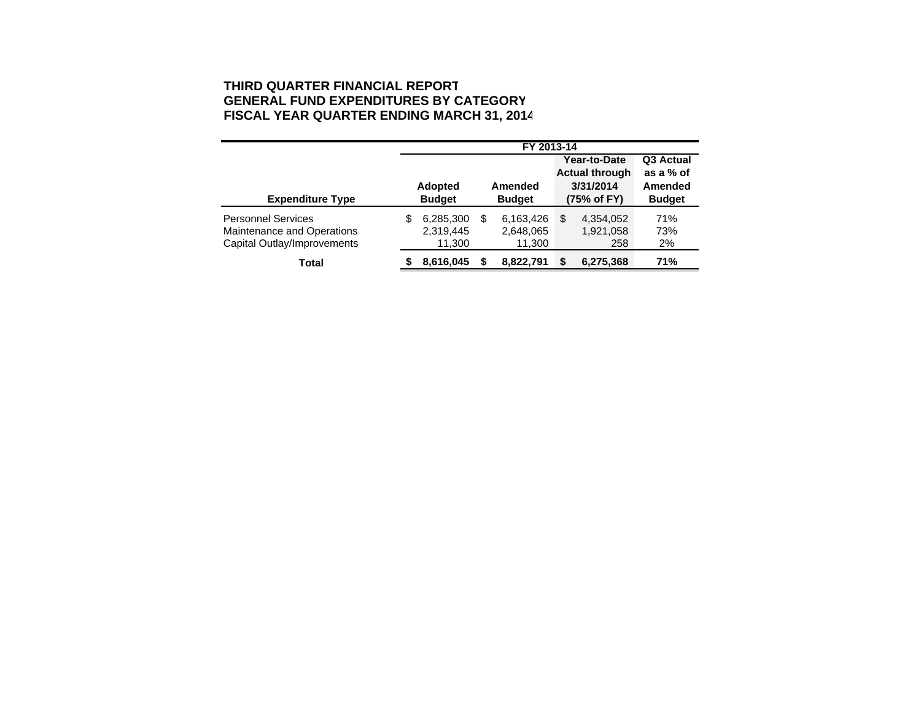## **THIRD QUARTER FINANCIAL REPORT GENERAL FUND EXPENDITURES BY CATEGORYFISCAL YEAR QUARTER ENDING MARCH 31, 2014**

|                             |                |           |   | FY 2013-14    |              |                                    |                      |  |
|-----------------------------|----------------|-----------|---|---------------|--------------|------------------------------------|----------------------|--|
|                             |                |           |   |               | Year-to-Date |                                    | Q3 Actual            |  |
|                             | <b>Adopted</b> |           |   | Amended       |              | <b>Actual through</b><br>3/31/2014 | as a % of<br>Amended |  |
| <b>Expenditure Type</b>     | <b>Budget</b>  |           |   | <b>Budget</b> |              | (75% of FY)                        | <b>Budget</b>        |  |
| <b>Personnel Services</b>   | S              | 6,285,300 | S | 6,163,426     | \$           | 4,354,052                          | 71%                  |  |
| Maintenance and Operations  |                | 2,319,445 |   | 2,648,065     |              | 1,921,058                          | 73%                  |  |
| Capital Outlay/Improvements |                | 11,300    |   | 11,300        |              | 258                                | 2%                   |  |
| Total                       |                | 8,616,045 |   | 8,822,791     |              | 6,275,368                          | 71%                  |  |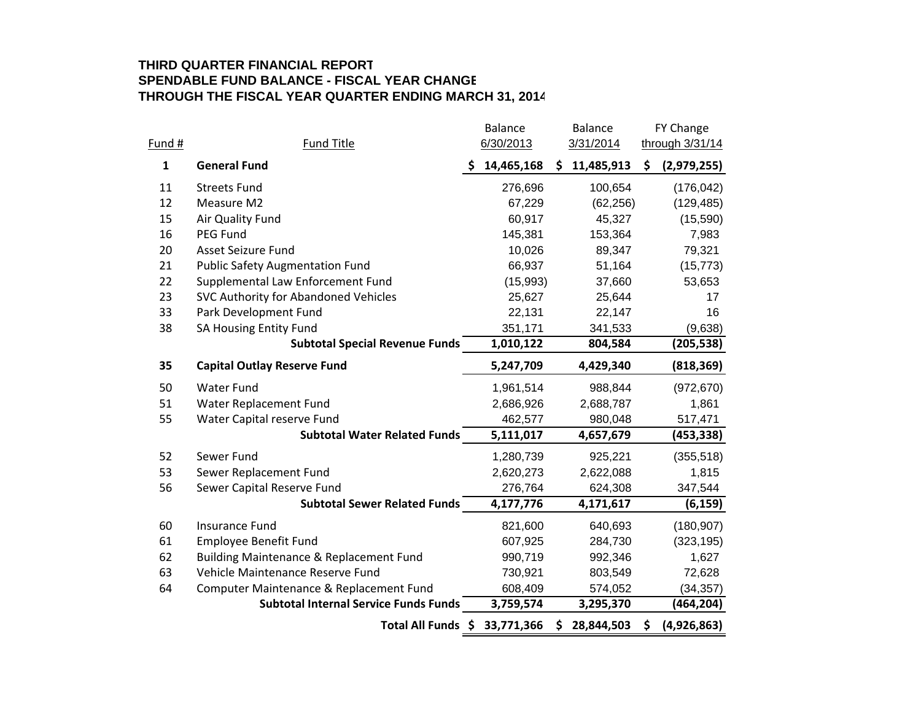## **THIRD QUARTER FINANCIAL REPORT SPENDABLE FUND BALANCE - FISCAL YEAR CHANGE THROUGH THE FISCAL YEAR QUARTER ENDING MARCH 31, 2014**

|              |                                              | <b>Balance</b>  |    | <b>Balance</b> | FY Change         |
|--------------|----------------------------------------------|-----------------|----|----------------|-------------------|
| Fund #       | <b>Fund Title</b>                            | 6/30/2013       |    | 3/31/2014      | through 3/31/14   |
| $\mathbf{1}$ | <b>General Fund</b>                          | 14,465,168<br>S | \$ | 11,485,913     | \$<br>(2,979,255) |
| 11           | <b>Streets Fund</b>                          | 276,696         |    | 100,654        | (176, 042)        |
| 12           | Measure M2                                   | 67,229          |    | (62, 256)      | (129, 485)        |
| 15           | Air Quality Fund                             | 60,917          |    | 45,327         | (15,590)          |
| 16           | PEG Fund                                     | 145,381         |    | 153,364        | 7,983             |
| 20           | Asset Seizure Fund                           | 10,026          |    | 89,347         | 79,321            |
| 21           | <b>Public Safety Augmentation Fund</b>       | 66,937          |    | 51,164         | (15, 773)         |
| 22           | Supplemental Law Enforcement Fund            | (15,993)        |    | 37,660         | 53,653            |
| 23           | SVC Authority for Abandoned Vehicles         | 25,627          |    | 25,644         | 17                |
| 33           | Park Development Fund                        | 22,131          |    | 22,147         | 16                |
| 38           | <b>SA Housing Entity Fund</b>                | 351,171         |    | 341,533        | (9,638)           |
|              | <b>Subtotal Special Revenue Funds</b>        | 1,010,122       |    | 804,584        | (205, 538)        |
| 35           | <b>Capital Outlay Reserve Fund</b>           | 5,247,709       |    | 4,429,340      | (818, 369)        |
| 50           | <b>Water Fund</b>                            | 1,961,514       |    | 988,844        | (972, 670)        |
| 51           | Water Replacement Fund                       | 2,686,926       |    | 2,688,787      | 1,861             |
| 55           | Water Capital reserve Fund                   | 462,577         |    | 980,048        | 517,471           |
|              | <b>Subtotal Water Related Funds</b>          | 5,111,017       |    | 4,657,679      | (453, 338)        |
| 52           | Sewer Fund                                   | 1,280,739       |    | 925,221        | (355, 518)        |
| 53           | Sewer Replacement Fund                       | 2,620,273       |    | 2,622,088      | 1,815             |
| 56           | Sewer Capital Reserve Fund                   | 276,764         |    | 624,308        | 347,544           |
|              | <b>Subtotal Sewer Related Funds</b>          | 4,177,776       |    | 4,171,617      | (6, 159)          |
| 60           | <b>Insurance Fund</b>                        | 821,600         |    | 640,693        | (180, 907)        |
| 61           | Employee Benefit Fund                        | 607,925         |    | 284,730        | (323, 195)        |
| 62           | Building Maintenance & Replacement Fund      | 990,719         |    | 992,346        | 1,627             |
| 63           | Vehicle Maintenance Reserve Fund             | 730,921         |    | 803,549        | 72,628            |
| 64           | Computer Maintenance & Replacement Fund      | 608,409         |    | 574,052        | (34, 357)         |
|              | <b>Subtotal Internal Service Funds Funds</b> | 3,759,574       |    | 3,295,370      | (464, 204)        |
|              | Total All Funds \$ 33,771,366                |                 | S  | 28,844,503     | \$<br>(4,926,863) |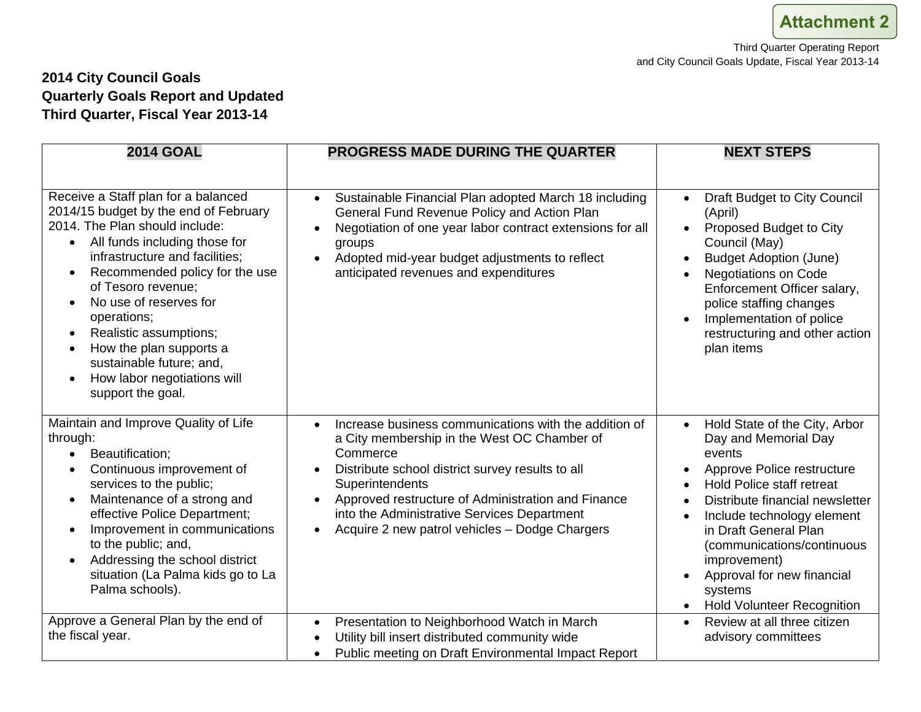## **2014 City Council Goals Quarterly Goals Report and Updated Third Quarter, Fiscal Year 2013-14**

| <b>2014 GOAL</b>                                                                                                                                                                                                                                                                                                                                                                                                                                                                         | <b>PROGRESS MADE DURING THE QUARTER</b>                                                                                                                                                                                                                                                                                                                                                            | <b>NEXT STEPS</b>                                                                                                                                                                                                                                                                                                                                                                              |  |  |  |
|------------------------------------------------------------------------------------------------------------------------------------------------------------------------------------------------------------------------------------------------------------------------------------------------------------------------------------------------------------------------------------------------------------------------------------------------------------------------------------------|----------------------------------------------------------------------------------------------------------------------------------------------------------------------------------------------------------------------------------------------------------------------------------------------------------------------------------------------------------------------------------------------------|------------------------------------------------------------------------------------------------------------------------------------------------------------------------------------------------------------------------------------------------------------------------------------------------------------------------------------------------------------------------------------------------|--|--|--|
| Receive a Staff plan for a balanced<br>2014/15 budget by the end of February<br>2014. The Plan should include:<br>All funds including those for<br>$\bullet$<br>infrastructure and facilities;<br>Recommended policy for the use<br>$\bullet$<br>of Tesoro revenue;<br>No use of reserves for<br>$\bullet$<br>operations;<br>Realistic assumptions;<br>$\bullet$<br>How the plan supports a<br>$\bullet$<br>sustainable future; and,<br>How labor negotiations will<br>support the goal. | Sustainable Financial Plan adopted March 18 including<br>$\bullet$<br>General Fund Revenue Policy and Action Plan<br>Negotiation of one year labor contract extensions for all<br>$\bullet$<br>groups<br>Adopted mid-year budget adjustments to reflect<br>$\bullet$<br>anticipated revenues and expenditures                                                                                      | Draft Budget to City Council<br>$\bullet$<br>(April)<br>Proposed Budget to City<br>Council (May)<br><b>Budget Adoption (June)</b><br><b>Negotiations on Code</b><br>Enforcement Officer salary,<br>police staffing changes<br>Implementation of police<br>restructuring and other action<br>plan items                                                                                         |  |  |  |
| Maintain and Improve Quality of Life<br>through:<br>Beautification;<br>$\bullet$<br>Continuous improvement of<br>$\bullet$<br>services to the public;<br>Maintenance of a strong and<br>effective Police Department;<br>Improvement in communications<br>to the public; and,<br>Addressing the school district<br>situation (La Palma kids go to La<br>Palma schools).                                                                                                                   | Increase business communications with the addition of<br>$\bullet$<br>a City membership in the West OC Chamber of<br>Commerce<br>Distribute school district survey results to all<br>$\bullet$<br>Superintendents<br>Approved restructure of Administration and Finance<br>$\bullet$<br>into the Administrative Services Department<br>Acquire 2 new patrol vehicles - Dodge Chargers<br>$\bullet$ | Hold State of the City, Arbor<br>Day and Memorial Day<br>events<br>Approve Police restructure<br>$\bullet$<br><b>Hold Police staff retreat</b><br>$\bullet$<br>Distribute financial newsletter<br>$\bullet$<br>Include technology element<br>in Draft General Plan<br>(communications/continuous<br>improvement)<br>Approval for new financial<br>systems<br><b>Hold Volunteer Recognition</b> |  |  |  |
| Approve a General Plan by the end of<br>the fiscal year.                                                                                                                                                                                                                                                                                                                                                                                                                                 | Presentation to Neighborhood Watch in March<br>$\bullet$<br>Utility bill insert distributed community wide<br>$\bullet$<br>Public meeting on Draft Environmental Impact Report                                                                                                                                                                                                                     | Review at all three citizen<br>$\bullet$<br>advisory committees                                                                                                                                                                                                                                                                                                                                |  |  |  |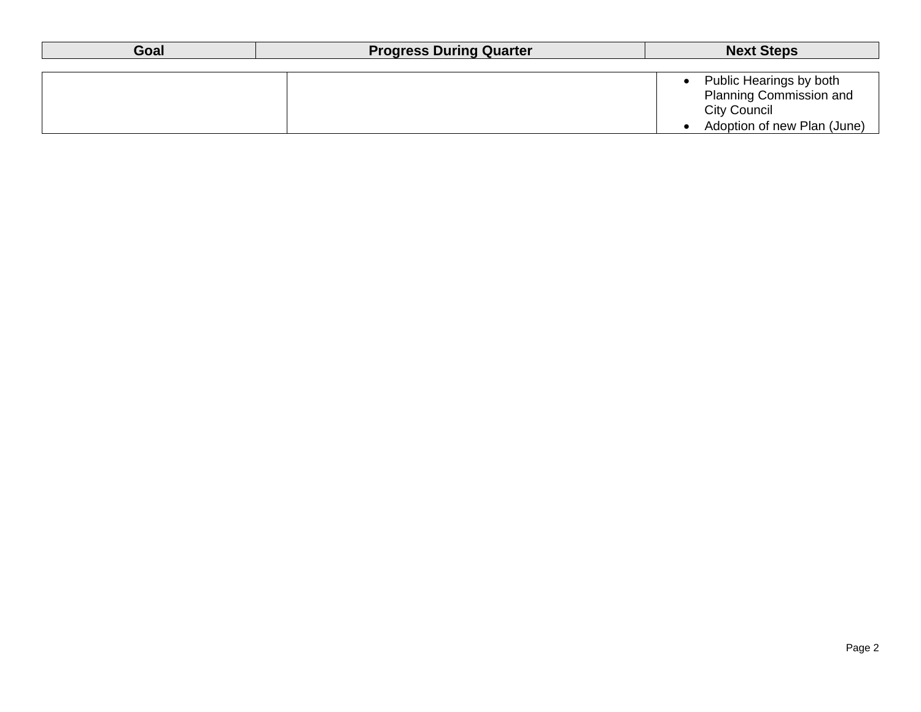| Goal | <b>Progress During Quarter</b> | <b>Next Steps</b>                                                                                        |
|------|--------------------------------|----------------------------------------------------------------------------------------------------------|
|      |                                | Public Hearings by both<br>Planning Commission and<br><b>City Council</b><br>Adoption of new Plan (June) |
|      |                                |                                                                                                          |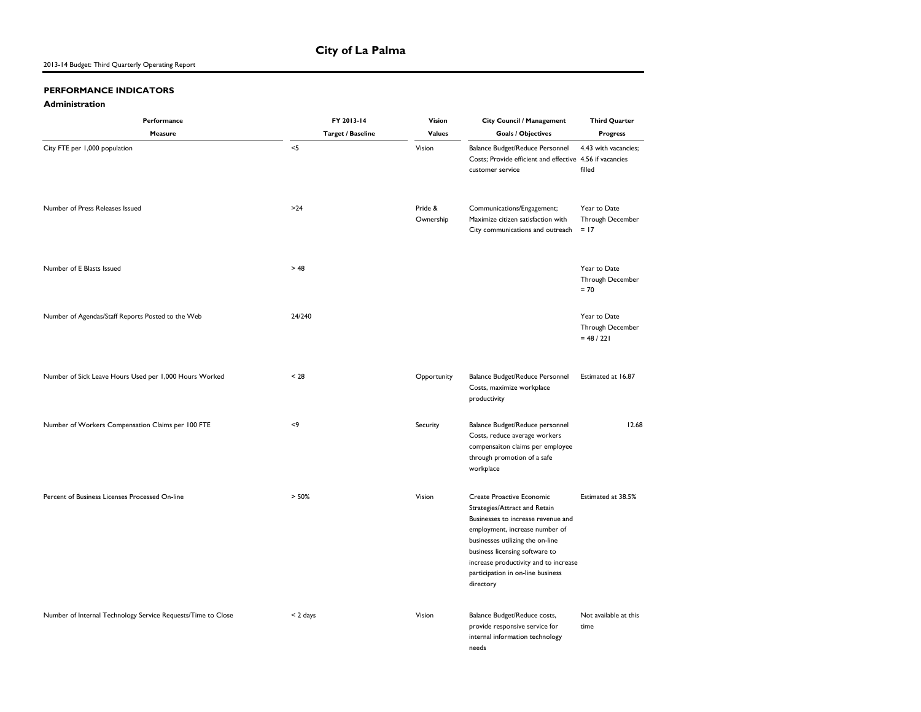## **City of La Palma**

### 2013-14 Budget: Third Quarterly Operating Report

#### **PERFORMANCE INDICATORS**

#### **Administration**

| Performance<br>Measure                                       | FY 2013-14<br><b>Target / Baseline</b> | Vision<br><b>Values</b> | <b>City Council / Management</b><br><b>Goals / Objectives</b>                                                                                                                                                                                                                                       | <b>Third Quarter</b><br><b>Progress</b>          |  |
|--------------------------------------------------------------|----------------------------------------|-------------------------|-----------------------------------------------------------------------------------------------------------------------------------------------------------------------------------------------------------------------------------------------------------------------------------------------------|--------------------------------------------------|--|
| City FTE per 1,000 population                                | $<$ 5                                  | Vision                  | Balance Budget/Reduce Personnel<br>Costs; Provide efficient and effective 4.56 if vacancies<br>customer service                                                                                                                                                                                     | 4.43 with vacancies;<br>filled                   |  |
| Number of Press Releases Issued                              | >24                                    | Pride &<br>Ownership    | Communications/Engagement;<br>Maximize citizen satisfaction with<br>City communications and outreach                                                                                                                                                                                                | Year to Date<br>Through December<br>$= 17$       |  |
| Number of E Blasts Issued                                    | > 48                                   |                         |                                                                                                                                                                                                                                                                                                     | Year to Date<br>Through December<br>$= 70$       |  |
| Number of Agendas/Staff Reports Posted to the Web            | 24/240                                 |                         |                                                                                                                                                                                                                                                                                                     | Year to Date<br>Through December<br>$= 48 / 221$ |  |
| Number of Sick Leave Hours Used per 1,000 Hours Worked       | < 28                                   | Opportunity             | Balance Budget/Reduce Personnel<br>Costs, maximize workplace<br>productivity                                                                                                                                                                                                                        | Estimated at 16.87                               |  |
| Number of Workers Compensation Claims per 100 FTE            | $<$ 9                                  | Security                | Balance Budget/Reduce personnel<br>Costs, reduce average workers<br>compensaiton claims per employee<br>through promotion of a safe<br>workplace                                                                                                                                                    | 12.68                                            |  |
| Percent of Business Licenses Processed On-line               | > 50%                                  | Vision                  | Create Proactive Economic<br>Strategies/Attract and Retain<br>Businesses to increase revenue and<br>employment, increase number of<br>businesses utilizing the on-line<br>business licensing software to<br>increase productivity and to increase<br>participation in on-line business<br>directory | Estimated at 38.5%                               |  |
| Number of Internal Technology Service Requests/Time to Close | $< 2 \text{ days}$                     | Vision                  | Balance Budget/Reduce costs,<br>provide responsive service for<br>internal information technology<br>needs                                                                                                                                                                                          | Not available at this<br>time                    |  |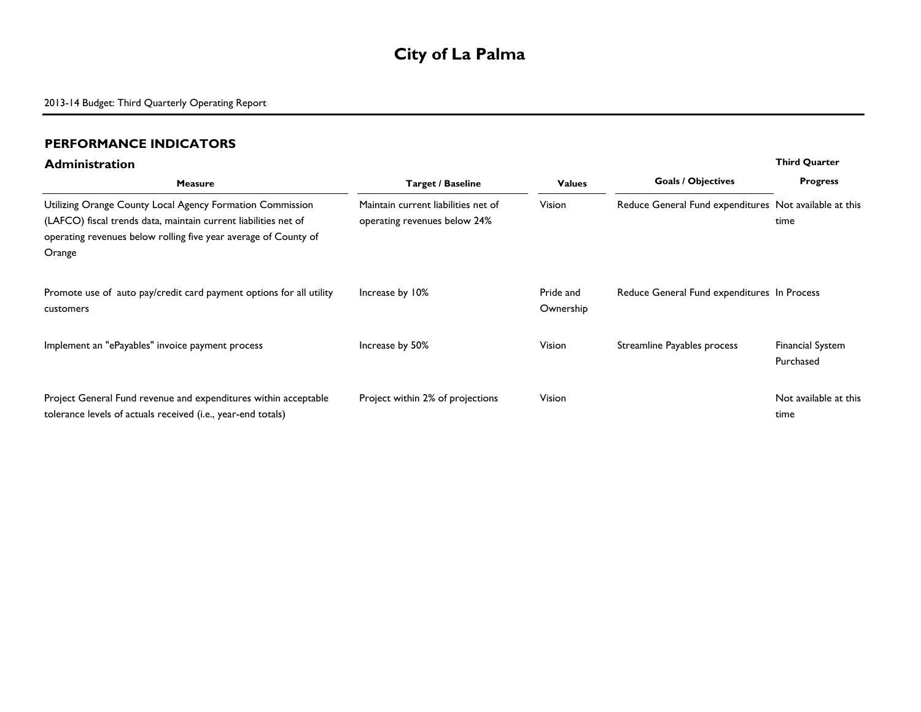# **City of La Palma**

### **PERFORMANCE INDICATORS**

#### **AdministrationThird Quarter**

| <b>Measure</b>                                                                                                                                                                                            | <b>Target / Baseline</b>                                            | <b>Values</b>          | <b>Goals / Objectives</b>                              | <b>Progress</b>                      |  |
|-----------------------------------------------------------------------------------------------------------------------------------------------------------------------------------------------------------|---------------------------------------------------------------------|------------------------|--------------------------------------------------------|--------------------------------------|--|
| Utilizing Orange County Local Agency Formation Commission<br>(LAFCO) fiscal trends data, maintain current liabilities net of<br>operating revenues below rolling five year average of County of<br>Orange | Maintain current liabilities net of<br>operating revenues below 24% | Vision                 | Reduce General Fund expenditures Not available at this | time                                 |  |
| Promote use of auto pay/credit card payment options for all utility<br>customers                                                                                                                          | Increase by 10%                                                     | Pride and<br>Ownership | Reduce General Fund expenditures In Process            |                                      |  |
| Implement an "ePayables" invoice payment process                                                                                                                                                          | Increase by 50%                                                     | Vision                 | Streamline Payables process                            | <b>Financial System</b><br>Purchased |  |
| Project General Fund revenue and expenditures within acceptable<br>tolerance levels of actuals received (i.e., year-end totals)                                                                           | Project within 2% of projections                                    | Vision                 |                                                        | Not available at this<br>time        |  |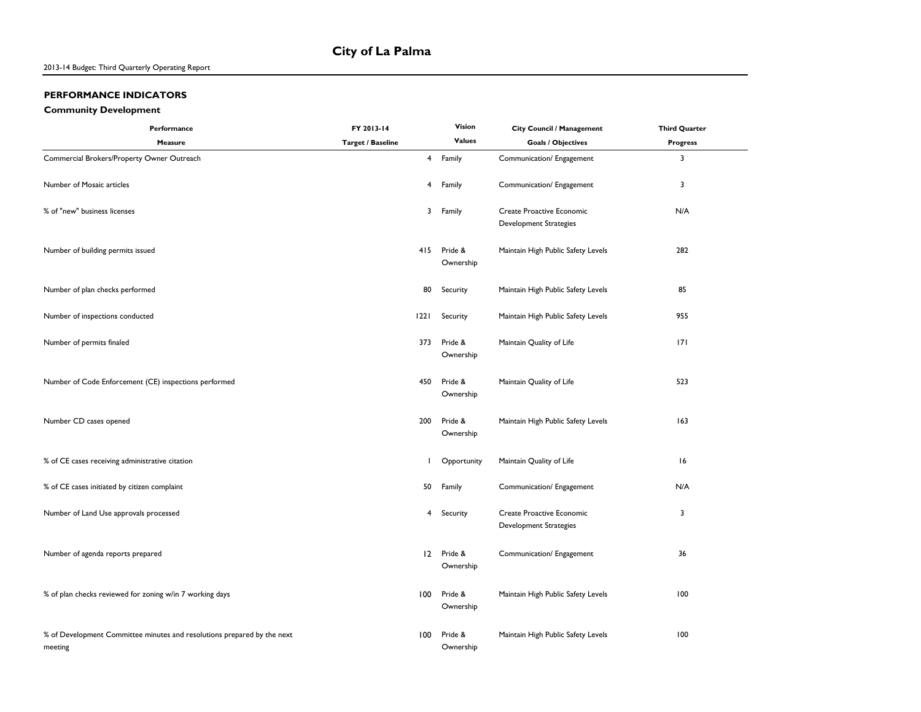### **PERFORMANCE INDICATORS**

### **Community Development**

| Performance                                                                        | FY 2013-14        | Vision               | <b>City Council / Management</b>                    | <b>Third Quarter</b> |  |
|------------------------------------------------------------------------------------|-------------------|----------------------|-----------------------------------------------------|----------------------|--|
| Measure                                                                            | Target / Baseline | <b>Values</b>        | <b>Goals / Objectives</b>                           | <b>Progress</b>      |  |
| Commercial Brokers/Property Owner Outreach                                         |                   | 4 Family             | Communication/ Engagement                           | 3                    |  |
| Number of Mosaic articles                                                          | $\overline{4}$    | Family               | Communication/ Engagement                           | 3                    |  |
| % of "new" business licenses                                                       | 3                 | Family               | Create Proactive Economic<br>Development Strategies | N/A                  |  |
| Number of building permits issued                                                  | 415               | Pride &<br>Ownership | Maintain High Public Safety Levels                  | 282                  |  |
| Number of plan checks performed                                                    | 80                | Security             | Maintain High Public Safety Levels                  | 85                   |  |
| Number of inspections conducted                                                    | 1221              | Security             | Maintain High Public Safety Levels                  | 955                  |  |
| Number of permits finaled                                                          | 373               | Pride &<br>Ownership | Maintain Quality of Life                            | 7                    |  |
| Number of Code Enforcement (CE) inspections performed                              | 450               | Pride &<br>Ownership | Maintain Quality of Life                            | 523                  |  |
| Number CD cases opened                                                             | 200               | Pride &<br>Ownership | Maintain High Public Safety Levels                  | 163                  |  |
| % of CE cases receiving administrative citation                                    | ı                 | Opportunity          | Maintain Quality of Life                            | 16                   |  |
| % of CE cases initiated by citizen complaint                                       | 50                | Family               | Communication/ Engagement                           | N/A                  |  |
| Number of Land Use approvals processed                                             | 4                 | Security             | Create Proactive Economic<br>Development Strategies | 3                    |  |
| Number of agenda reports prepared                                                  | 12                | Pride &<br>Ownership | Communication/ Engagement                           | 36                   |  |
| % of plan checks reviewed for zoning w/in 7 working days                           | 100               | Pride &<br>Ownership | Maintain High Public Safety Levels                  | 100                  |  |
| % of Development Committee minutes and resolutions prepared by the next<br>meeting | 100               | Pride &<br>Ownership | Maintain High Public Safety Levels                  | 100                  |  |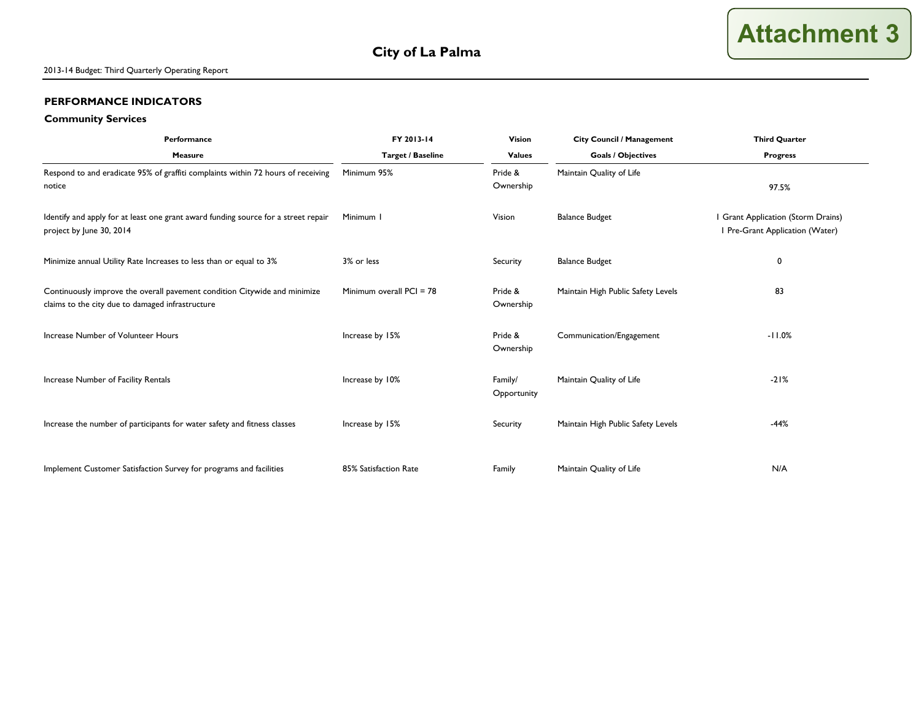### **PERFORMANCE INDICATORS**

## **Community Services**

| Performance                                                                                                                   | FY 2013-14<br>Vision     |                        | <b>City Council / Management</b>   | <b>Third Quarter</b>                                                  |
|-------------------------------------------------------------------------------------------------------------------------------|--------------------------|------------------------|------------------------------------|-----------------------------------------------------------------------|
| Measure                                                                                                                       | Target / Baseline        | <b>Values</b>          | <b>Goals / Objectives</b>          | <b>Progress</b>                                                       |
| Respond to and eradicate 95% of graffiti complaints within 72 hours of receiving<br>notice                                    | Minimum 95%              | Pride &<br>Ownership   | Maintain Quality of Life           | 97.5%                                                                 |
| Identify and apply for at least one grant award funding source for a street repair<br>project by June 30, 2014                | Minimum I                | Vision                 | <b>Balance Budget</b>              | I Grant Application (Storm Drains)<br>I Pre-Grant Application (Water) |
| Minimize annual Utility Rate Increases to less than or equal to 3%                                                            | 3% or less               | Security               | <b>Balance Budget</b>              | 0                                                                     |
| Continuously improve the overall pavement condition Citywide and minimize<br>claims to the city due to damaged infrastructure | Minimum overall PCI = 78 | Pride &<br>Ownership   | Maintain High Public Safety Levels | 83                                                                    |
| Increase Number of Volunteer Hours                                                                                            | Increase by 15%          | Pride &<br>Ownership   | Communication/Engagement           | $-11.0%$                                                              |
| Increase Number of Facility Rentals                                                                                           | Increase by 10%          | Family/<br>Opportunity | Maintain Quality of Life           | $-21%$                                                                |
| Increase the number of participants for water safety and fitness classes                                                      | Increase by 15%          | Security               | Maintain High Public Safety Levels | $-44%$                                                                |
| Implement Customer Satisfaction Survey for programs and facilities                                                            | 85% Satisfaction Rate    | Family                 | Maintain Quality of Life           | N/A                                                                   |